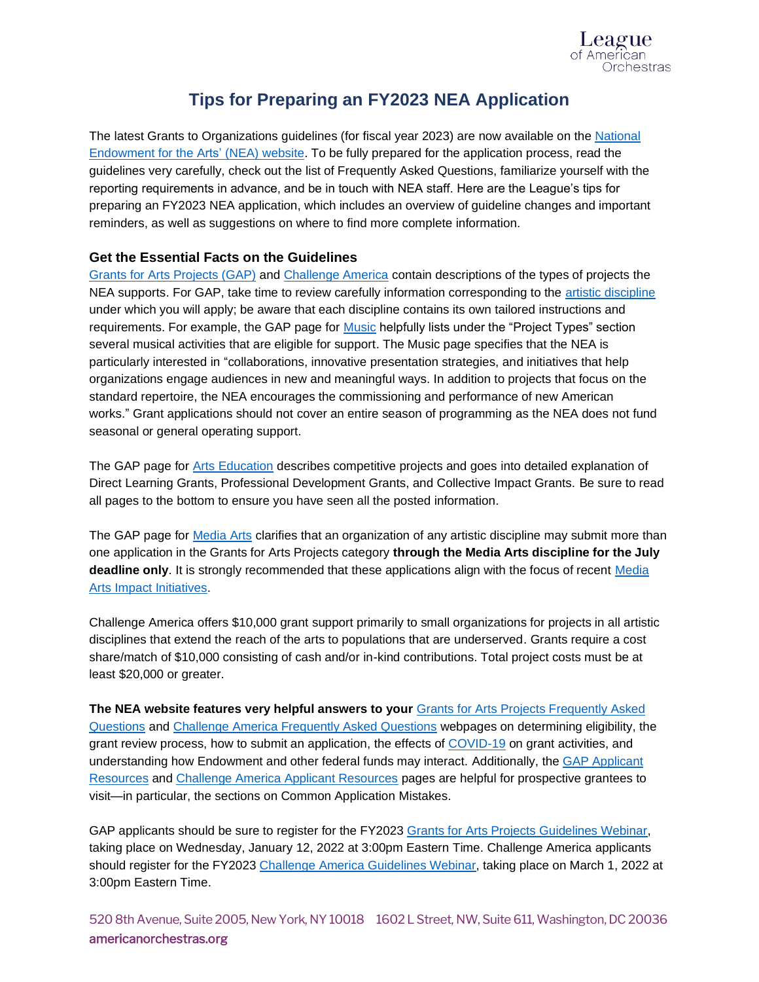

# **Tips for Preparing an FY2023 NEA Application**

The latest Grants to Organizations guidelines (for fiscal year 2023) are now available on the National [Endowment for the Arts'](http://arts.gov/grants/apply-grant/grants-organizations) (NEA) website. To be fully prepared for the application process, read the guidelines very carefully, check out the list of Frequently Asked Questions, familiarize yourself with the reporting requirements in advance, and be in touch with NEA staff. Here are the League's tips for preparing an FY2023 NEA application, which includes an overview of guideline changes and important reminders, as well as suggestions on where to find more complete information.

## **Get the Essential Facts on the Guidelines**

[Grants for Arts Projects](https://www.arts.gov/grants/grants-for-arts-projects/program-description) (GAP) an[d Challenge America](https://www.arts.gov/grants/challenge-america/program-description) contain descriptions of the types of projects the NEA supports. For GAP, take time to review carefully information corresponding to the [artistic discipline](https://www.arts.gov/grants/grants-for-arts-projects/artistic-disciplines) under which you will apply; be aware that each discipline contains its own tailored instructions and requirements. For example, the GAP page for **Music helpfully lists under the "Project Types" section** several musical activities that are eligible for support. The Music page specifies that the NEA is particularly interested in "collaborations, innovative presentation strategies, and initiatives that help organizations engage audiences in new and meaningful ways. In addition to projects that focus on the standard repertoire, the NEA encourages the commissioning and performance of new American works." Grant applications should not cover an entire season of programming as the NEA does not fund seasonal or general operating support.

The GAP page for [Arts Education](https://www.arts.gov/grants/grants-for-arts-projects/arts-education) describes competitive projects and goes into detailed explanation of Direct Learning Grants, Professional Development Grants, and Collective Impact Grants. Be sure to read all pages to the bottom to ensure you have seen all the posted information.

The GAP page for **Media Arts clarifies that an organization of any artistic discipline may submit more than** one application in the Grants for Arts Projects category **through the Media Arts discipline for the July deadline only**. It is strongly recommended that these applications align with the focus of recent [Media](https://www.arts.gov/impact/media-arts)  [Arts Impact Initiatives.](https://www.arts.gov/impact/media-arts)

Challenge America offers \$10,000 grant support primarily to small organizations for projects in all artistic disciplines that extend the reach of the arts to populations that are underserved. Grants require a cost share/match of \$10,000 consisting of cash and/or in-kind contributions. Total project costs must be at least \$20,000 or greater.

**The NEA website features very helpful answers to your** [Grants for Arts Projects Frequently Asked](https://www.arts.gov/grants/grants-for-arts-projects/frequently-asked-questions)  [Questions](https://www.arts.gov/grants/grants-for-arts-projects/frequently-asked-questions) an[d Challenge America Frequently Asked Questions](https://www.arts.gov/grants/challenge-america/frequently-asked-questions) webpages on determining eligibility, the grant review process, how to submit an application, the effects o[f COVID-19](https://www.arts.gov/about/nea-on-covid-19) on grant activities, and understanding how Endowment and other federal funds may interact. Additionally, the [GAP Applicant](https://www.arts.gov/grants/grants-for-arts-projects/applicant-resources)  [Resources](https://www.arts.gov/grants/grants-for-arts-projects/applicant-resources) and [Challenge America Applicant Resources](https://www.arts.gov/grants/challenge-america/applicant-resources) pages are helpful for prospective grantees to visit—in particular, the sections on Common Application Mistakes.

GAP applicants should be sure to register for the FY2023 [Grants for Arts Projects Guidelines Webinar,](https://arts.zoomgov.com/webinar/register/WN_P6VaQhQhRJ6Ln4tKYRBqWw) taking place on Wednesday, January 12, 2022 at 3:00pm Eastern Time. Challenge America applicants should register for the FY2023 [Challenge America Guidelines Webinar,](https://arts.zoomgov.com/webinar/register/WN_D90HbHfmTBaT72DHNQowVw) taking place on March 1, 2022 at 3:00pm Eastern Time.

520 8th Avenue, Suite 2005, New York, NY 10018 1602 L Street, NW, Suite 611, Washington, DC 20036 americanorchestras.org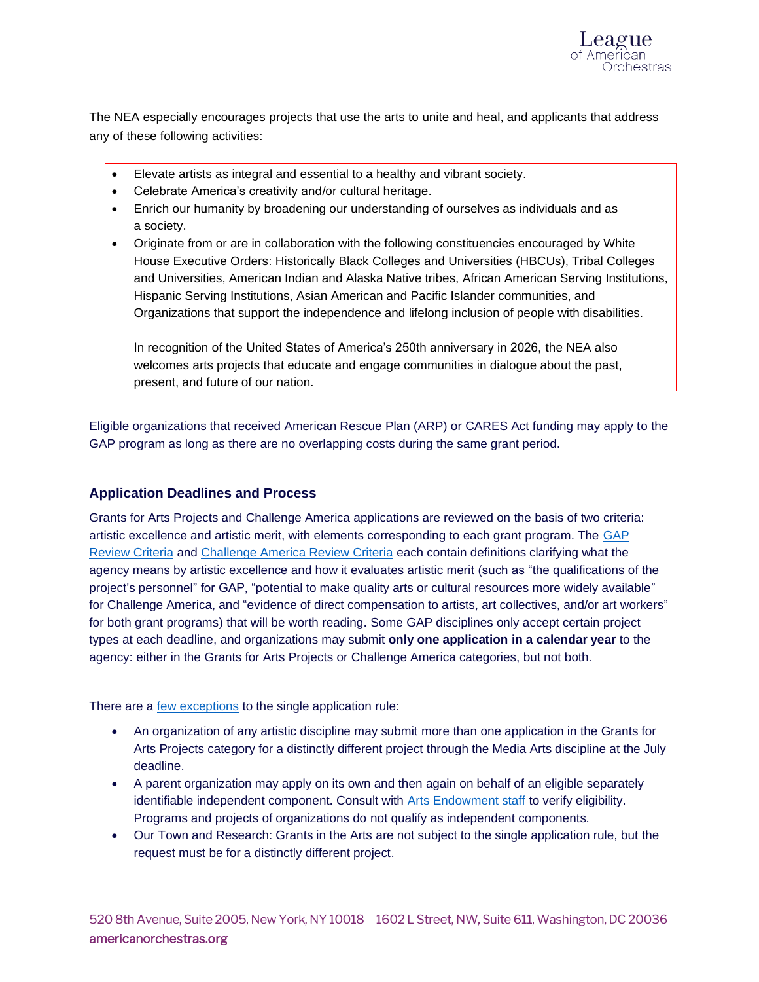

The NEA especially encourages projects that use the arts to unite and heal, and applicants that address any of these following activities:

- Elevate artists as integral and essential to a healthy and vibrant society.
- Celebrate America's creativity and/or cultural heritage.
- Enrich our humanity by broadening our understanding of ourselves as individuals and as a society.
- Originate from or are in collaboration with the following constituencies encouraged by White House Executive Orders: Historically Black Colleges and Universities (HBCUs), Tribal Colleges and Universities, American Indian and Alaska Native tribes, African American Serving Institutions, Hispanic Serving Institutions, Asian American and Pacific Islander communities, and Organizations that support the independence and lifelong inclusion of people with disabilities.

In recognition of the United States of America's 250th anniversary in 2026, the NEA also welcomes arts projects that educate and engage communities in dialogue about the past, present, and future of our nation.

Eligible organizations that received American Rescue Plan (ARP) or CARES Act funding may apply to the GAP program as long as there are no overlapping costs during the same grant period.

## **Application Deadlines and Process**

Grants for Arts Projects and Challenge America applications are reviewed on the basis of two criteria: artistic excellence and artistic merit, with elements corresponding to each grant program. The GAP [Review Criteria](https://www.arts.gov/grants/grants-for-arts-projects/review-criteria) and [Challenge America Review Criteria](https://www.arts.gov/grants/challenge-america/application-review) each contain definitions clarifying what the agency means by artistic excellence and how it evaluates artistic merit (such as "the qualifications of the project's personnel" for GAP, "potential to make quality arts or cultural resources more widely available" for Challenge America, and "evidence of direct compensation to artists, art collectives, and/or art workers" for both grant programs) that will be worth reading. Some GAP disciplines only accept certain project types at each deadline, and organizations may submit **only one application in a calendar year** to the agency: either in the Grants for Arts Projects or Challenge America categories, but not both.

There are a [few exceptions](https://www.arts.gov/grants/grants-for-arts-projects/eligibility#limits) to the single application rule:

- An organization of any artistic discipline may submit more than one application in the Grants for Arts Projects category for a distinctly different project through the Media Arts discipline at the July deadline.
- A parent organization may apply on its own and then again on behalf of an eligible separately identifiable independent component. Consult with [Arts Endowment staff](http://arts.gov/grants/apply-grant/grants-organizations/agency-contacts) to verify eligibility. Programs and projects of organizations do not qualify as independent components.
- Our Town and Research: Grants in the Arts are not subject to the single application rule, but the request must be for a distinctly different project.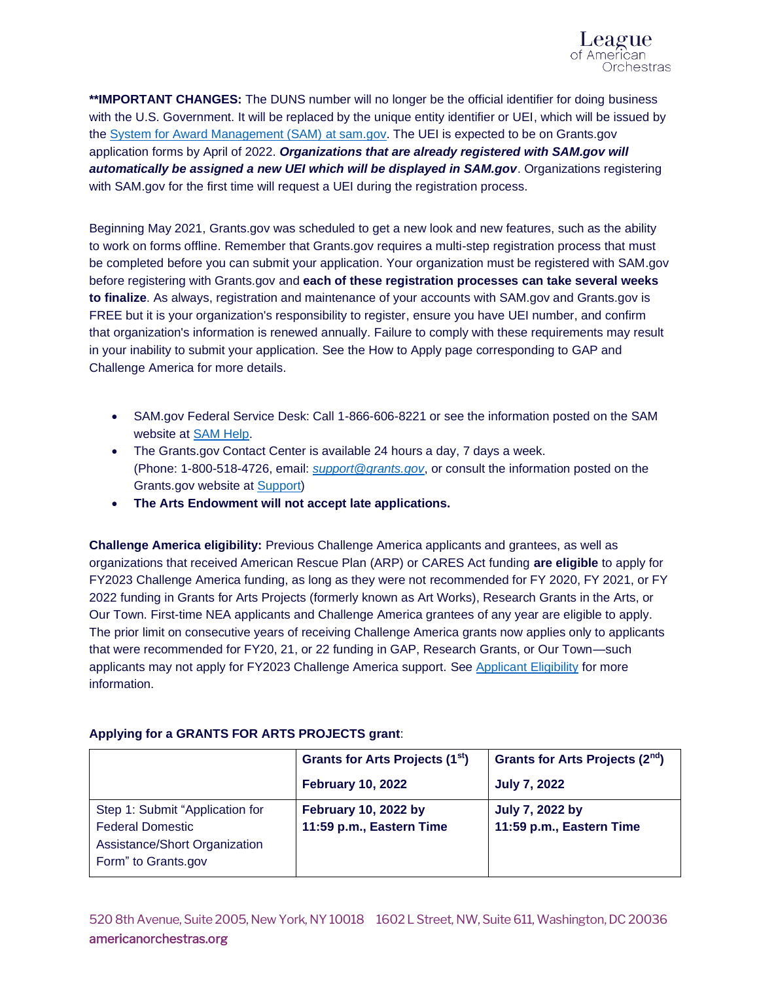

**\*\*IMPORTANT CHANGES:** The DUNS number will no longer be the official identifier for doing business with the U.S. Government. It will be replaced by the unique entity identifier or UEI, which will be issued by the [System for Award Management \(SAM\)](http://www.sam.gov/) at sam.gov. The UEI is expected to be on Grants.gov application forms by April of 2022. *Organizations that are already registered with SAM.gov will automatically be assigned a new UEI which will be displayed in SAM.gov*. Organizations registering with SAM.gov for the first time will request a UEI during the registration process.

Beginning May 2021, Grants.gov was scheduled to get a new look and new features, such as the ability to work on forms offline. Remember that Grants.gov requires a multi-step registration process that must be completed before you can submit your application. Your organization must be registered with SAM.gov before registering with Grants.gov and **each of these registration processes can take several weeks to finalize**. As always, registration and maintenance of your accounts with SAM.gov and Grants.gov is FREE but it is your organization's responsibility to register, ensure you have UEI number, and confirm that organization's information is renewed annually. Failure to comply with these requirements may result in your inability to submit your application. See the How to Apply page corresponding to GAP and Challenge America for more details.

- SAM.gov Federal Service Desk: Call 1-866-606-8221 or see the information posted on the SAM website at [SAM Help.](https://sam.gov/content/help)
- The Grants.gov Contact Center is available 24 hours a day, 7 days a week. (Phone: 1-800-518-4726, email: *[support@grants.gov](mailto:support@grants.gov)*, or consult the information posted on the Grants.gov website at [Support\)](http://www.grants.gov/web/grants/support.html)
- **The Arts Endowment will not accept late applications.**

**Challenge America eligibility:** Previous Challenge America applicants and grantees, as well as organizations that received American Rescue Plan (ARP) or CARES Act funding **are eligible** to apply for FY2023 Challenge America funding, as long as they were not recommended for FY 2020, FY 2021, or FY 2022 funding in Grants for Arts Projects (formerly known as Art Works), Research Grants in the Arts, or Our Town. First-time NEA applicants and Challenge America grantees of any year are eligible to apply. The prior limit on consecutive years of receiving Challenge America grants now applies only to applicants that were recommended for FY20, 21, or 22 funding in GAP, Research Grants, or Our Town—such applicants may not apply for FY2023 Challenge America support. See [Applicant Eligibility](https://www.arts.gov/grants/challenge-america/eligibility) for more information.

|                                                                                                                    | Grants for Arts Projects (1 <sup>st</sup> )             | Grants for Arts Projects (2 <sup>nd</sup> ) |
|--------------------------------------------------------------------------------------------------------------------|---------------------------------------------------------|---------------------------------------------|
|                                                                                                                    | <b>February 10, 2022</b>                                | <b>July 7, 2022</b>                         |
| Step 1: Submit "Application for<br><b>Federal Domestic</b><br>Assistance/Short Organization<br>Form" to Grants.gov | <b>February 10, 2022 by</b><br>11:59 p.m., Eastern Time | July 7, 2022 by<br>11:59 p.m., Eastern Time |

## **Applying for a GRANTS FOR ARTS PROJECTS grant**: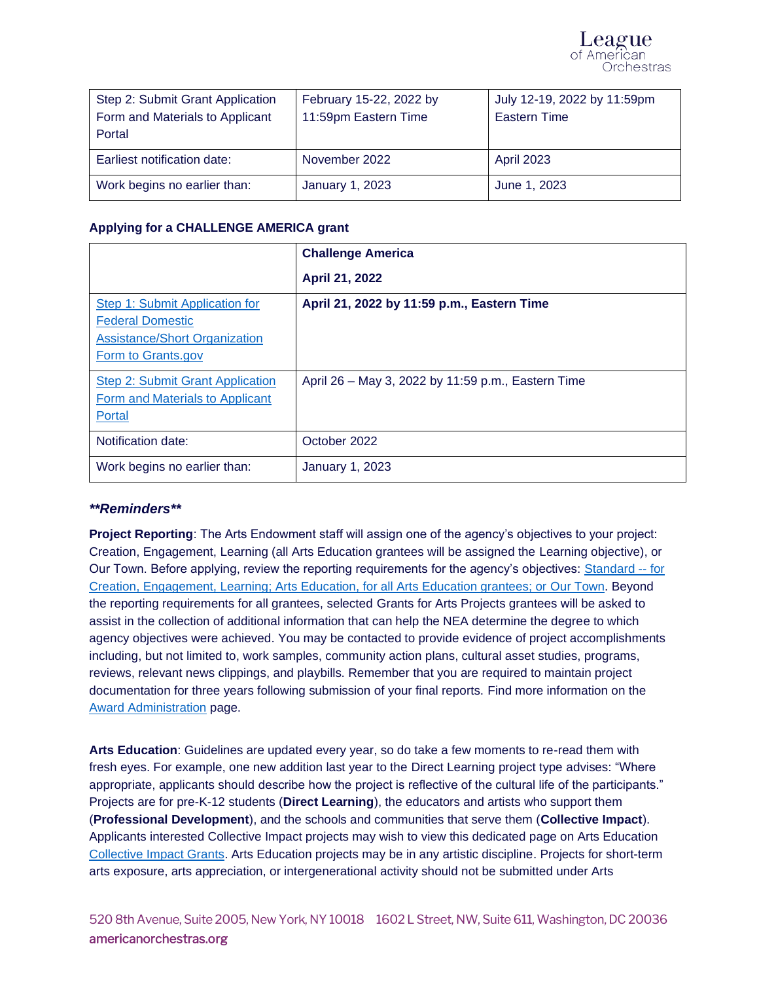| Step 2: Submit Grant Application | February 15-22, 2022 by | July 12-19, 2022 by 11:59pm |
|----------------------------------|-------------------------|-----------------------------|
| Form and Materials to Applicant  | 11:59pm Eastern Time    | <b>Eastern Time</b>         |
| Portal                           |                         |                             |
| Earliest notification date:      | November 2022           | April 2023                  |
| Work begins no earlier than:     | January 1, 2023         | June 1, 2023                |

## **Applying for a CHALLENGE AMERICA grant**

|                                                                                                                         | <b>Challenge America</b>                           |  |
|-------------------------------------------------------------------------------------------------------------------------|----------------------------------------------------|--|
|                                                                                                                         | April 21, 2022                                     |  |
| Step 1: Submit Application for<br><b>Federal Domestic</b><br><b>Assistance/Short Organization</b><br>Form to Grants.gov | April 21, 2022 by 11:59 p.m., Eastern Time         |  |
| Step 2: Submit Grant Application<br>Form and Materials to Applicant<br>Portal                                           | April 26 – May 3, 2022 by 11:59 p.m., Eastern Time |  |
| Notification date:                                                                                                      | October 2022                                       |  |
| Work begins no earlier than:                                                                                            | <b>January 1, 2023</b>                             |  |

## *\*\*Reminders\*\**

**Project Reporting**: The Arts Endowment staff will assign one of the agency's objectives to your project: Creation, Engagement, Learning (all Arts Education grantees will be assigned the Learning objective), or Our Town. Before applying, review the reporting requirements for the agency's objectives: [Standard --](https://www.arts.gov/grants/fy2019-and-later-reporting-requirements) for Creation, Engagement, Learning; [Arts Education, for all Arts Education grantees; or](https://www.arts.gov/grants/fy2019-and-later-reporting-requirements) Our Town. Beyond the reporting requirements for all grantees, selected Grants for Arts Projects grantees will be asked to assist in the collection of additional information that can help the NEA determine the degree to which agency objectives were achieved. You may be contacted to provide evidence of project accomplishments including, but not limited to, work samples, community action plans, cultural asset studies, programs, reviews, relevant news clippings, and playbills. Remember that you are required to maintain project documentation for three years following submission of your final reports. Find more information on the [Award Administration](https://www.arts.gov/grants/grants-for-arts-projects/award-administration) page.

**Arts Education**: Guidelines are updated every year, so do take a few moments to re-read them with fresh eyes. For example, one new addition last year to the Direct Learning project type advises: "Where appropriate, applicants should describe how the project is reflective of the cultural life of the participants." Projects are for pre-K-12 students (**Direct Learning**), the educators and artists who support them (**Professional Development**), and the schools and communities that serve them (**Collective Impact**). Applicants interested Collective Impact projects may wish to view this dedicated page on Arts Education [Collective Impact Grants.](https://www.arts.gov/grants/grants-for-arts-projects/arts-education/collective-impact-grants) Arts Education projects may be in any artistic discipline. Projects for short-term arts exposure, arts appreciation, or intergenerational activity should not be submitted under Arts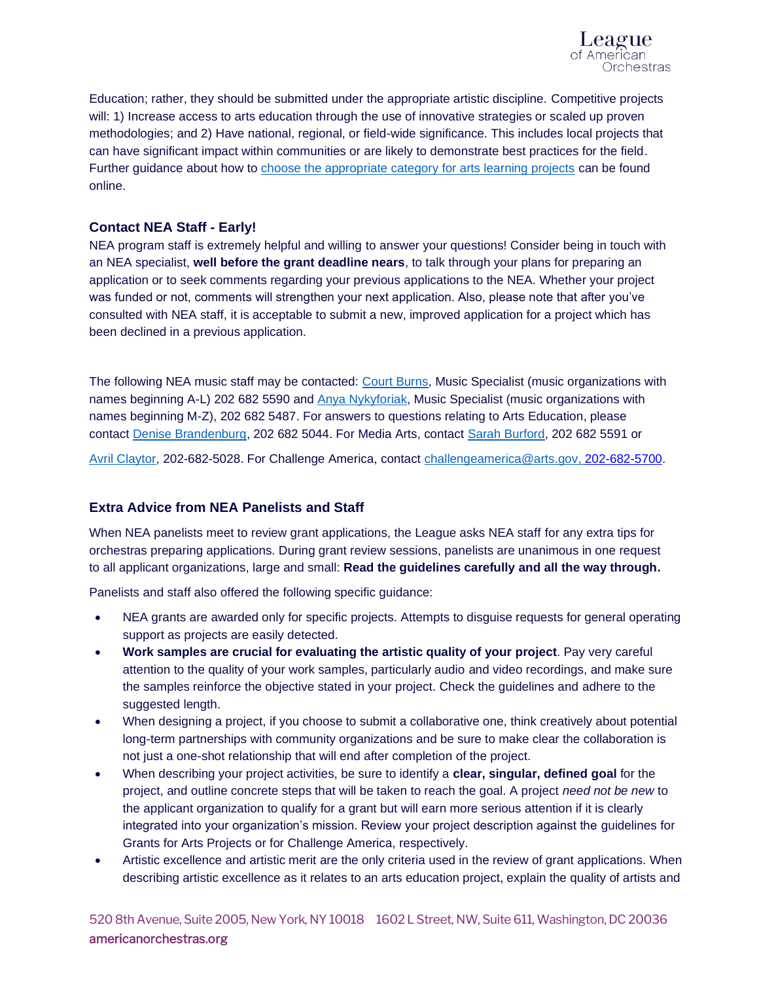

Education; rather, they should be submitted under the appropriate artistic discipline. Competitive projects will: 1) Increase access to arts education through the use of innovative strategies or scaled up proven methodologies; and 2) Have national, regional, or field-wide significance. This includes local projects that can have significant impact within communities or are likely to demonstrate best practices for the field. Further guidance about how to [choose the appropriate category for arts learning projects](https://www.arts.gov/grants/choosing-the-right-discipline-for-youth-projects) can be found online.

## **Contact NEA Staff - Early!**

NEA program staff is extremely helpful and willing to answer your questions! Consider being in touch with an NEA specialist, **well before the grant deadline nears**, to talk through your plans for preparing an application or to seek comments regarding your previous applications to the NEA. Whether your project was funded or not, comments will strengthen your next application. Also, please note that after you've consulted with NEA staff, it is acceptable to submit a new, improved application for a project which has been declined in a previous application.

The following NEA music staff may be contacted: [Court Burns,](mailto:burnsc@arts.gov) Music Specialist (music organizations with names beginning A-L) 202 682 5590 and [Anya Nykyforiak,](mailto:nykyfora@arts.gov) Music Specialist (music organizations with names beginning M-Z), 202 682 5487. For answers to questions relating to Arts Education, please contact [Denise Brandenburg,](mailto:brandenburg@arts.gov) 202 682 5044. For Media Arts, contact [Sarah Burford,](mailto:burfords@arts.gov) 202 682 5591 or

[Avril Claytor,](mailto:claytora@arts.gov) 202-682-5028. For Challenge America, contact [challengeamerica@arts.gov,](mailto:challengeamerica@arts.gov) 202-682-5700.

## **Extra Advice from NEA Panelists and Staff**

When NEA panelists meet to review grant applications, the League asks NEA staff for any extra tips for orchestras preparing applications. During grant review sessions, panelists are unanimous in one request to all applicant organizations, large and small: **Read the guidelines carefully and all the way through.** 

Panelists and staff also offered the following specific guidance:

- NEA grants are awarded only for specific projects. Attempts to disquise requests for general operating support as projects are easily detected.
- **Work samples are crucial for evaluating the artistic quality of your project**. Pay very careful attention to the quality of your work samples, particularly audio and video recordings, and make sure the samples reinforce the objective stated in your project. Check the guidelines and adhere to the suggested length.
- When designing a project, if you choose to submit a collaborative one, think creatively about potential long-term partnerships with community organizations and be sure to make clear the collaboration is not just a one-shot relationship that will end after completion of the project.
- When describing your project activities, be sure to identify a **clear, singular, defined goal** for the project, and outline concrete steps that will be taken to reach the goal. A project *need not be new* to the applicant organization to qualify for a grant but will earn more serious attention if it is clearly integrated into your organization's mission. Review your project description against the guidelines for Grants for Arts Projects or for Challenge America, respectively.
- Artistic excellence and artistic merit are the only criteria used in the review of grant applications. When describing artistic excellence as it relates to an arts education project, explain the quality of artists and